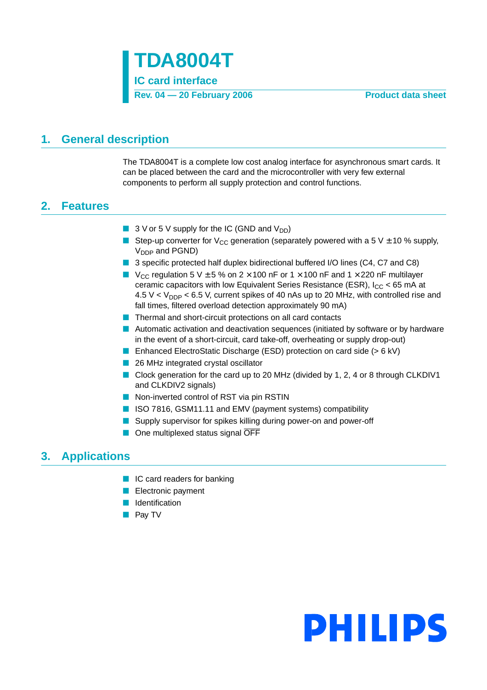

### <span id="page-0-0"></span>**1. General description**

The TDA8004T is a complete low cost analog interface for asynchronous smart cards. It can be placed between the card and the microcontroller with very few external components to perform all supply protection and control functions.

### <span id="page-0-1"></span>**2. Features**

- $\blacksquare$  3 V or 5 V supply for the IC (GND and V<sub>DD</sub>)
- **■** Step-up converter for  $V_{CC}$  generation (separately powered with a 5 V  $\pm$  10 % supply,  $V_{DDP}$  and PGND)
- 3 specific protected half duplex bidirectional buffered I/O lines (C4, C7 and C8)
- $V_{CC}$  regulation 5 V  $\pm$  5 % on 2 × 100 nF or 1 × 100 nF and 1 × 220 nF multilayer ceramic capacitors with low Equivalent Series Resistance (ESR),  $I_{CC}$  < 65 mA at 4.5 V <  $V_{\text{DDP}}$  < 6.5 V, current spikes of 40 nAs up to 20 MHz, with controlled rise and fall times, filtered overload detection approximately 90 mA)
- Thermal and short-circuit protections on all card contacts
- Automatic activation and deactivation sequences (initiated by software or by hardware in the event of a short-circuit, card take-off, overheating or supply drop-out)
- Enhanced ElectroStatic Discharge (ESD) protection on card side (> 6 kV)
- 26 MHz integrated crystal oscillator
- Clock generation for the card up to 20 MHz (divided by 1, 2, 4 or 8 through CLKDIV1 and CLKDIV2 signals)
- Non-inverted control of RST via pin RSTIN
- ISO 7816, GSM11.11 and EMV (payment systems) compatibility
- Supply supervisor for spikes killing during power-on and power-off
- One multiplexed status signal OFF

### <span id="page-0-2"></span>**3. Applications**

- IC card readers for banking
- Electronic payment
- Identification
- Pay TV

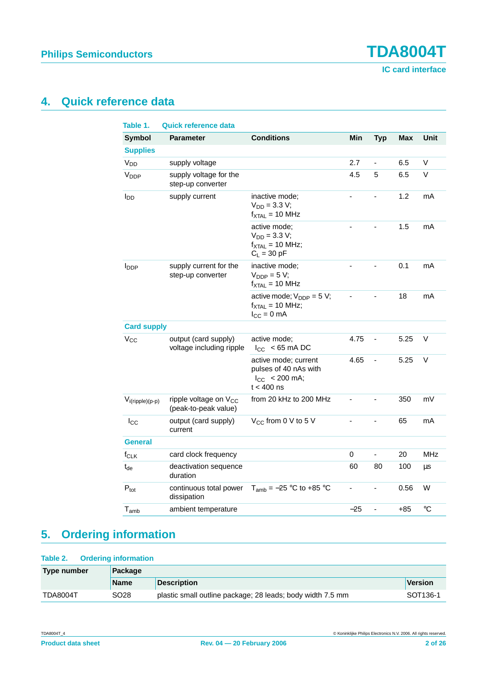**Philips Semiconductors TDA8004T**

**IC card interface**

### <span id="page-1-0"></span>**4. Quick reference data**

| Table 1.             | Quick reference data                                      |                                                                                                  |       |                          |            |                 |
|----------------------|-----------------------------------------------------------|--------------------------------------------------------------------------------------------------|-------|--------------------------|------------|-----------------|
| <b>Symbol</b>        | <b>Parameter</b>                                          | <b>Conditions</b>                                                                                | Min   | <b>Typ</b>               | <b>Max</b> | Unit            |
| <b>Supplies</b>      |                                                           |                                                                                                  |       |                          |            |                 |
| V <sub>DD</sub>      | supply voltage                                            |                                                                                                  | 2.7   | $\blacksquare$           | 6.5        | V               |
| V <sub>DDP</sub>     | supply voltage for the<br>step-up converter               |                                                                                                  | 4.5   | 5                        | 6.5        | V               |
| l <sub>DD</sub>      | supply current                                            | inactive mode;<br>$V_{DD} = 3.3 V;$<br>$f_{\text{XTAL}} = 10 \text{ MHz}$                        |       |                          | 1.2        | mA              |
|                      |                                                           | active mode;<br>$V_{DD} = 3.3 V;$<br>$f_{\text{XTAL}} = 10 \text{ MHz}$ ;<br>$C_L = 30$ pF       |       |                          | 1.5        | mA              |
| I <sub>DDP</sub>     | supply current for the<br>step-up converter               | inactive mode;<br>$V_{DDP} = 5 V;$<br>$f_{\text{XTAL}} = 10 \text{ MHz}$                         |       |                          | 0.1        | mA              |
|                      |                                                           | active mode; $V_{\text{DDP}} = 5 V$ ;<br>$f_{\text{XTAL}} = 10 \text{ MHz}$ ;<br>$I_{CC} = 0$ mA |       |                          | 18         | mA              |
| <b>Card supply</b>   |                                                           |                                                                                                  |       |                          |            |                 |
| $V_{CC}$             | output (card supply)<br>voltage including ripple          | active mode;<br>$ I_{\rm CC} $ < 65 mA DC                                                        | 4.75  | $\overline{\phantom{a}}$ | 5.25       | V               |
|                      |                                                           | active mode; current<br>pulses of 40 nAs with<br>$ I_{CC}  < 200$ mA;<br>$t < 400$ ns            | 4.65  | -                        | 5.25       | V               |
| $V_{i(ripple)(p-p)}$ | ripple voltage on V <sub>CC</sub><br>(peak-to-peak value) | from 20 kHz to 200 MHz                                                                           |       |                          | 350        | mV              |
| $ I_{\rm CC} $       | output (card supply)<br>current                           | V <sub>CC</sub> from 0 V to 5 V                                                                  |       |                          | 65         | mA              |
| <b>General</b>       |                                                           |                                                                                                  |       |                          |            |                 |
| $f_{CLK}$            | card clock frequency                                      |                                                                                                  | 0     | ÷,                       | 20         | <b>MHz</b>      |
| $t_{de}$             | deactivation sequence<br>duration                         |                                                                                                  | 60    | 80                       | 100        | μs              |
| $P_{\text{tot}}$     | continuous total power<br>dissipation                     | $T_{amb} = -25$ °C to +85 °C                                                                     |       |                          | 0.56       | W               |
| $T_{amb}$            | ambient temperature                                       |                                                                                                  | $-25$ | L,                       | $+85$      | $\rm ^{\circ}C$ |

### <span id="page-1-1"></span>**5. Ordering information**

#### **Table 2. Ordering information**

| Type number     | Package     |                                                            |                      |  |  |
|-----------------|-------------|------------------------------------------------------------|----------------------|--|--|
|                 | <b>Name</b> | <b>Description</b>                                         | <b>Version</b>       |  |  |
| <b>TDA8004T</b> | SO28        | plastic small outline package; 28 leads; body width 7.5 mm | SOT <sub>136-1</sub> |  |  |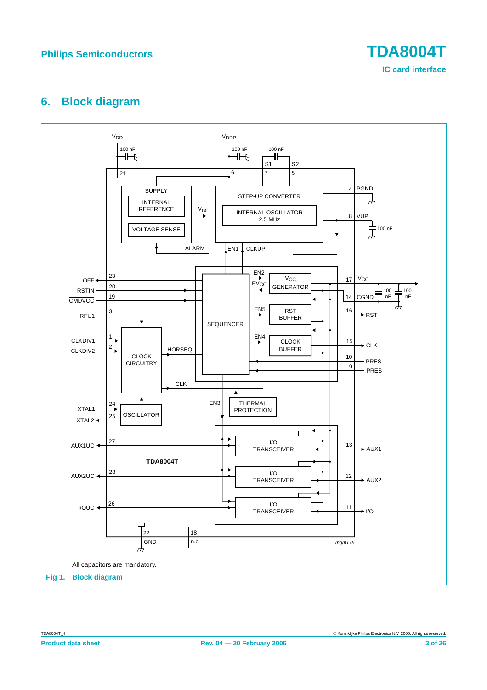

**IC card interface**

### <span id="page-2-0"></span>**6. Block diagram**

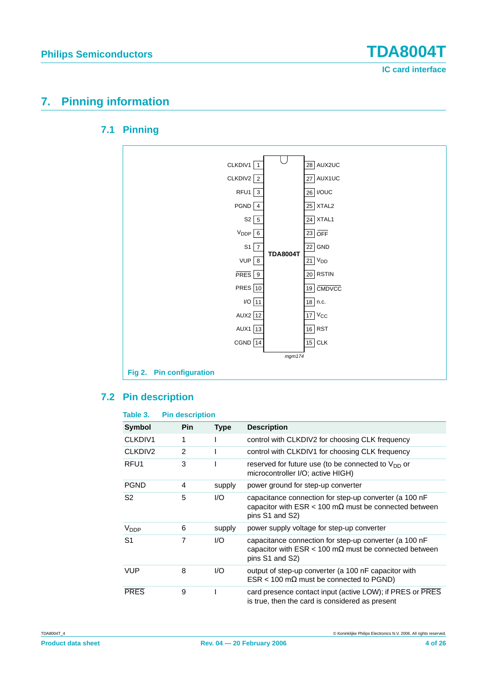

### <span id="page-3-1"></span><span id="page-3-0"></span>**7. Pinning information**

### **7.1 Pinning**



#### <span id="page-3-2"></span>**7.2 Pin description**

| Table 3.            | <b>Pin description</b> |             |                                                                                                                                                   |
|---------------------|------------------------|-------------|---------------------------------------------------------------------------------------------------------------------------------------------------|
| <b>Symbol</b>       | <b>Pin</b>             | <b>Type</b> | <b>Description</b>                                                                                                                                |
| CLKDIV1             | 1                      |             | control with CLKDIV2 for choosing CLK frequency                                                                                                   |
| CLKDIV <sub>2</sub> | $\overline{2}$         |             | control with CLKDIV1 for choosing CLK frequency                                                                                                   |
| RFU <sub>1</sub>    | 3                      |             | reserved for future use (to be connected to $V_{DD}$ or<br>microcontroller I/O; active HIGH)                                                      |
| <b>PGND</b>         | 4                      | supply      | power ground for step-up converter                                                                                                                |
| S <sub>2</sub>      | 5                      | 1/O         | capacitance connection for step-up converter (a 100 nF<br>capacitor with $ESR < 100 \text{ m}\Omega$ must be connected between<br>pins S1 and S2) |
| $V_{\text{DDP}}$    | 6                      | supply      | power supply voltage for step-up converter                                                                                                        |
| S <sub>1</sub>      | 7                      | 1/O         | capacitance connection for step-up converter (a 100 nF<br>capacitor with $ESR < 100 \text{ m}\Omega$ must be connected between<br>pins S1 and S2) |
| <b>VUP</b>          | 8                      | 1/O         | output of step-up converter (a 100 nF capacitor with<br>$ESR < 100 \text{ m}\Omega$ must be connected to PGND)                                    |
| <b>PRES</b>         | 9                      |             | card presence contact input (active LOW); if PRES or PRES<br>is true, then the card is considered as present                                      |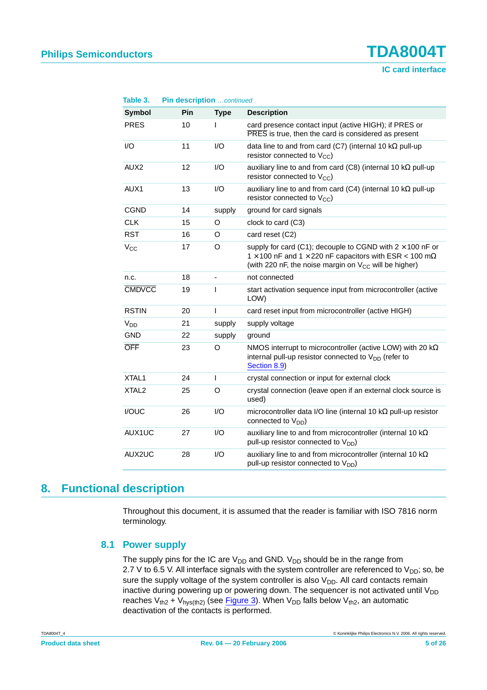# **Philips Semiconductors TDA8004T**

**IC card interface**

| Table 3.              | Pin description continued |             |                                                                                                                                                                                                                       |
|-----------------------|---------------------------|-------------|-----------------------------------------------------------------------------------------------------------------------------------------------------------------------------------------------------------------------|
| <b>Symbol</b>         | Pin                       | <b>Type</b> | <b>Description</b>                                                                                                                                                                                                    |
| <b>PRES</b>           | 10                        | L           | card presence contact input (active HIGH); if PRES or<br>PRES is true, then the card is considered as present                                                                                                         |
| I/O                   | 11                        | I/O         | data line to and from card (C7) (internal 10 $k\Omega$ pull-up<br>resistor connected to $V_{CC}$ )                                                                                                                    |
| AUX <sub>2</sub>      | 12                        | I/O         | auxiliary line to and from card (C8) (internal 10 $k\Omega$ pull-up<br>resistor connected to $V_{CC}$ )                                                                                                               |
| AUX1                  | 13                        | 1/O         | auxiliary line to and from card (C4) (internal 10 $k\Omega$ pull-up<br>resistor connected to $V_{CC}$ )                                                                                                               |
| <b>CGND</b>           | 14                        | supply      | ground for card signals                                                                                                                                                                                               |
| <b>CLK</b>            | 15                        | O           | clock to card (C3)                                                                                                                                                                                                    |
| <b>RST</b>            | 16                        | O           | card reset (C2)                                                                                                                                                                                                       |
| $V_{CC}$              | 17                        | O           | supply for card (C1); decouple to CGND with $2 \times 100$ nF or<br>1 $\times$ 100 nF and 1 $\times$ 220 nF capacitors with ESR < 100 m $\Omega$<br>(with 220 nF, the noise margin on V <sub>CC</sub> will be higher) |
| n.c.                  | 18                        |             | not connected                                                                                                                                                                                                         |
| <b>CMDVCC</b>         | 19                        | I           | start activation sequence input from microcontroller (active<br>LOW)                                                                                                                                                  |
| <b>RSTIN</b>          | 20                        | T           | card reset input from microcontroller (active HIGH)                                                                                                                                                                   |
| <b>V<sub>DD</sub></b> | 21                        | supply      | supply voltage                                                                                                                                                                                                        |
| <b>GND</b>            | 22                        | supply      | ground                                                                                                                                                                                                                |
| <b>OFF</b>            | 23                        | O           | NMOS interrupt to microcontroller (active LOW) with 20 $k\Omega$<br>internal pull-up resistor connected to V <sub>DD</sub> (refer to<br>Section 8.9)                                                                  |
| XTAL <sub>1</sub>     | 24                        | L           | crystal connection or input for external clock                                                                                                                                                                        |
| XTAL <sub>2</sub>     | 25                        | O           | crystal connection (leave open if an external clock source is<br>used)                                                                                                                                                |
| I/OUC                 | 26                        | I/O         | microcontroller data I/O line (internal 10 k $\Omega$ pull-up resistor<br>connected to $V_{DD}$ )                                                                                                                     |
| AUX1UC                | 27                        | 1/O         | auxiliary line to and from microcontroller (internal 10 $k\Omega$<br>pull-up resistor connected to V <sub>DD</sub> )                                                                                                  |
| AUX2UC                | 28                        | I/O         | auxiliary line to and from microcontroller (internal 10 $k\Omega$<br>pull-up resistor connected to $V_{DD}$ )                                                                                                         |

### <span id="page-4-1"></span><span id="page-4-0"></span>**8. Functional description**

Throughout this document, it is assumed that the reader is familiar with ISO 7816 norm terminology.

#### **8.1 Power supply**

The supply pins for the IC are  $V_{DD}$  and GND.  $V_{DD}$  should be in the range from 2.7 V to 6.5 V. All interface signals with the system controller are referenced to  $V_{DD}$ ; so, be sure the supply voltage of the system controller is also  $V_{DD}$ . All card contacts remain inactive during powering up or powering down. The sequencer is not activated until  $V_{DD}$ reaches  $V_{th2}$  +  $V_{hys(th2)}$  (see [Figure](#page-5-0) 3). When  $V_{DD}$  falls below  $V_{th2}$ , an automatic deactivation of the contacts is performed.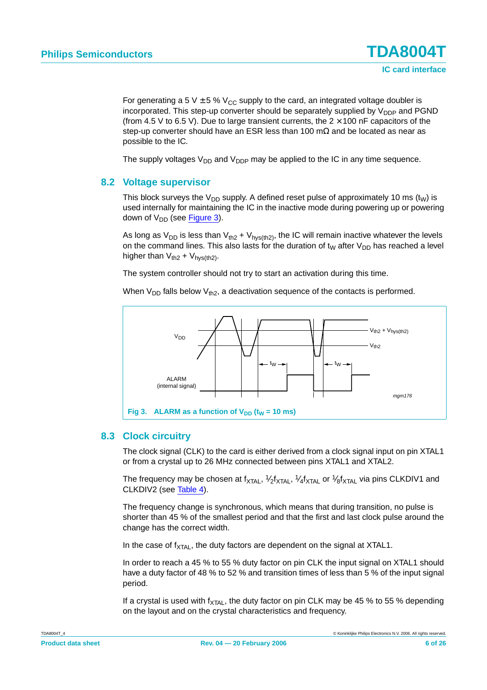For generating a 5 V  $\pm$  5 % V<sub>CC</sub> supply to the card, an integrated voltage doubler is incorporated. This step-up converter should be separately supplied by  $V_{\text{DDP}}$  and PGND (from 4.5 V to 6.5 V). Due to large transient currents, the  $2 \times 100$  nF capacitors of the step-up converter should have an ESR less than 100 mΩ and be located as near as possible to the IC.

The supply voltages  $V_{DD}$  and  $V_{DDP}$  may be applied to the IC in any time sequence.

#### <span id="page-5-1"></span>**8.2 Voltage supervisor**

This block surveys the V<sub>DD</sub> supply. A defined reset pulse of approximately 10 ms (t<sub>W</sub>) is used internally for maintaining the IC in the inactive mode during powering up or powering down of  $V_{DD}$  (see [Figure](#page-5-0) 3).

As long as  $V_{DD}$  is less than  $V_{th2} + V_{hys(th2)}$ , the IC will remain inactive whatever the levels on the command lines. This also lasts for the duration of  $t<sub>W</sub>$  after  $V<sub>DD</sub>$  has reached a level higher than  $V_{th2} + V_{hvs(th2)}$ .

The system controller should not try to start an activation during this time.

When  $V_{DD}$  falls below  $V_{th2}$ , a deactivation sequence of the contacts is performed.



#### <span id="page-5-2"></span><span id="page-5-0"></span>**8.3 Clock circuitry**

The clock signal (CLK) to the card is either derived from a clock signal input on pin XTAL1 or from a crystal up to 26 MHz connected between pins XTAL1 and XTAL2.

The frequency may be chosen at f<sub>XTAL</sub>, 1⁄2f<sub>XTAL</sub>, 1⁄4f<sub>XTAL</sub> or 1⁄<sub>8</sub>f<sub>XTAL</sub> via pins CLKDIV1 and CLKDIV2 (see [Table](#page-6-0) 4).

The frequency change is synchronous, which means that during transition, no pulse is shorter than 45 % of the smallest period and that the first and last clock pulse around the change has the correct width.

In the case of  $f_{\text{YTA}}$ , the duty factors are dependent on the signal at XTAL1.

In order to reach a 45 % to 55 % duty factor on pin CLK the input signal on XTAL1 should have a duty factor of 48 % to 52 % and transition times of less than 5 % of the input signal period.

If a crystal is used with  $f_{\text{XTAL}}$ , the duty factor on pin CLK may be 45 % to 55 % depending on the layout and on the crystal characteristics and frequency.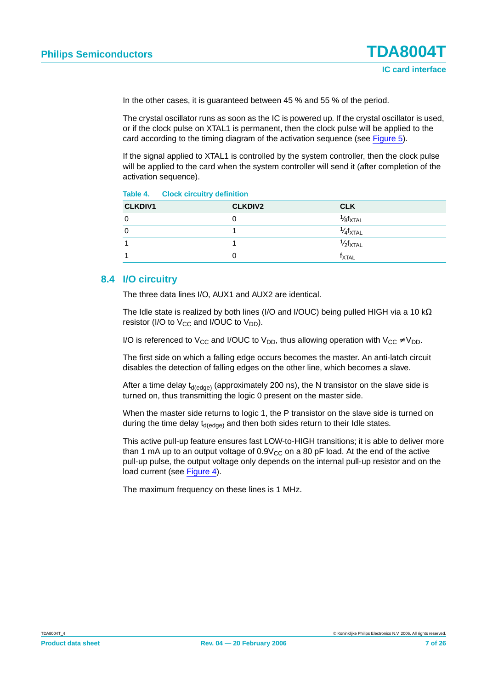In the other cases, it is guaranteed between 45 % and 55 % of the period.

The crystal oscillator runs as soon as the IC is powered up. If the crystal oscillator is used, or if the clock pulse on XTAL1 is permanent, then the clock pulse will be applied to the card according to the timing diagram of the activation sequence (see [Figure](#page-8-0) 5).

If the signal applied to XTAL1 is controlled by the system controller, then the clock pulse will be applied to the card when the system controller will send it (after completion of the activation sequence).

<span id="page-6-0"></span>**Table 4. Clock circuitry definition**

| <b>CLKDIV1</b> | <b>CLKDIV2</b> | <b>CLK</b>                   |
|----------------|----------------|------------------------------|
|                | U              | $\frac{1}{8}f_{\text{XTAL}}$ |
|                |                | $1/4$ fxtal                  |
|                |                | $1/2$ $f_{\text{XTAL}}$      |
|                | U              | <sup>†</sup> XTAL            |

#### <span id="page-6-1"></span>**8.4 I/O circuitry**

The three data lines I/O, AUX1 and AUX2 are identical.

The Idle state is realized by both lines (I/O and I/OUC) being pulled HIGH via a 10 kΩ resistor (I/O to  $V_{CC}$  and I/OUC to  $V_{DD}$ ).

I/O is referenced to V<sub>CC</sub> and I/OUC to V<sub>DD</sub>, thus allowing operation with V<sub>CC</sub>  $\neq$  V<sub>DD</sub>.

The first side on which a falling edge occurs becomes the master. An anti-latch circuit disables the detection of falling edges on the other line, which becomes a slave.

After a time delay  $t_{d(edoe)}$  (approximately 200 ns), the N transistor on the slave side is turned on, thus transmitting the logic 0 present on the master side.

When the master side returns to logic 1, the P transistor on the slave side is turned on during the time delay  $t_{d(edge)}$  and then both sides return to their Idle states.

This active pull-up feature ensures fast LOW-to-HIGH transitions; it is able to deliver more than 1 mA up to an output voltage of  $0.9V_{CC}$  on a 80 pF load. At the end of the active pull-up pulse, the output voltage only depends on the internal pull-up resistor and on the load current (see [Figure](#page-7-0) 4).

The maximum frequency on these lines is 1 MHz.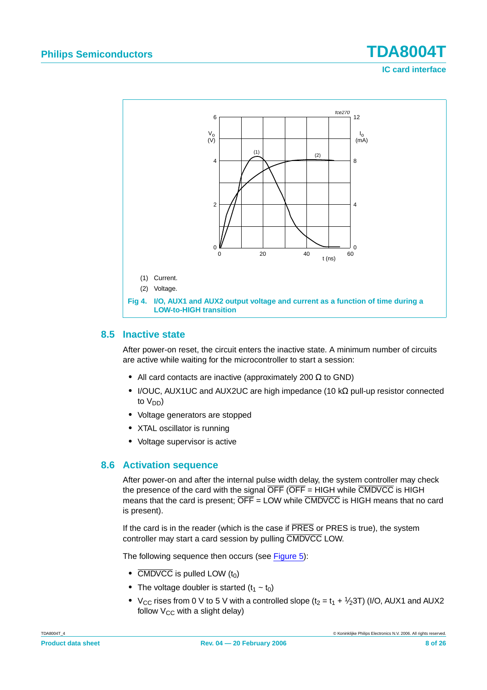

#### <span id="page-7-1"></span><span id="page-7-0"></span>**8.5 Inactive state**

After power-on reset, the circuit enters the inactive state. A minimum number of circuits are active while waiting for the microcontroller to start a session:

- **•** All card contacts are inactive (approximately 200 Ω to GND)
- **•** I/OUC, AUX1UC and AUX2UC are high impedance (10 kΩ pull-up resistor connected to  $V_{DD}$ )
- **•** Voltage generators are stopped
- **•** XTAL oscillator is running
- **•** Voltage supervisor is active

#### <span id="page-7-2"></span>**8.6 Activation sequence**

After power-on and after the internal pulse width delay, the system controller may check the presence of the card with the signal  $\overline{OFF}$  ( $\overline{OFF}$  = HIGH while  $\overline{CMDCC}$  is HIGH means that the card is present;  $\overline{\text{OFF}}$  = LOW while  $\overline{\text{CMDVCC}}$  is HIGH means that no card is present).

If the card is in the reader (which is the case if  $\overline{PRES}$  or PRES is true), the system controller may start a card session by pulling CMDVCC LOW.

The following sequence then occurs (see [Figure](#page-8-0) 5):

- $\overline{CMDVCC}$  is pulled LOW  $(t_0)$
- The voltage doubler is started  $(t_1 t_0)$
- $V_{CC}$  rises from 0 V to 5 V with a controlled slope ( $t_2 = t_1 + \frac{1}{2}$ 3T) (I/O, AUX1 and AUX2 follow  $V_{CC}$  with a slight delay)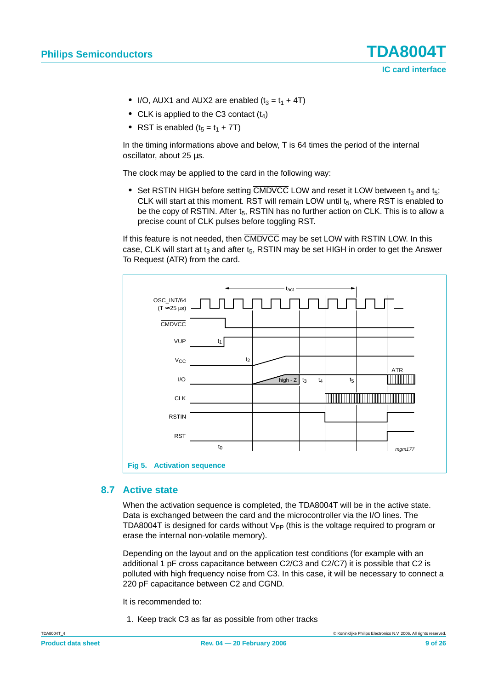- I/O, AUX1 and AUX2 are enabled  $(t_3 = t_1 + 4T)$
- CLK is applied to the C3 contact (t<sub>4</sub>)
- RST is enabled  $(t_5 = t_1 + 7T)$

In the timing informations above and below, T is 64 times the period of the internal oscillator, about 25 µs.

The clock may be applied to the card in the following way:

• Set RSTIN HIGH before setting CMDVCC LOW and reset it LOW between t<sub>3</sub> and t<sub>5</sub>; CLK will start at this moment. RST will remain LOW until  $t<sub>5</sub>$ , where RST is enabled to be the copy of RSTIN. After  $t_5$ , RSTIN has no further action on CLK. This is to allow a precise count of CLK pulses before toggling RST.

If this feature is not needed, then CMDVCC may be set LOW with RSTIN LOW. In this case, CLK will start at  $t_3$  and after  $t_5$ , RSTIN may be set HIGH in order to get the Answer To Request (ATR) from the card.



#### <span id="page-8-1"></span><span id="page-8-0"></span>**8.7 Active state**

When the activation sequence is completed, the TDA8004T will be in the active state. Data is exchanged between the card and the microcontroller via the I/O lines. The TDA8004T is designed for cards without  $V_{\text{PP}}$  (this is the voltage required to program or erase the internal non-volatile memory).

Depending on the layout and on the application test conditions (for example with an additional 1 pF cross capacitance between C2/C3 and C2/C7) it is possible that C2 is polluted with high frequency noise from C3. In this case, it will be necessary to connect a 220 pF capacitance between C2 and CGND.

It is recommended to:

1. Keep track C3 as far as possible from other tracks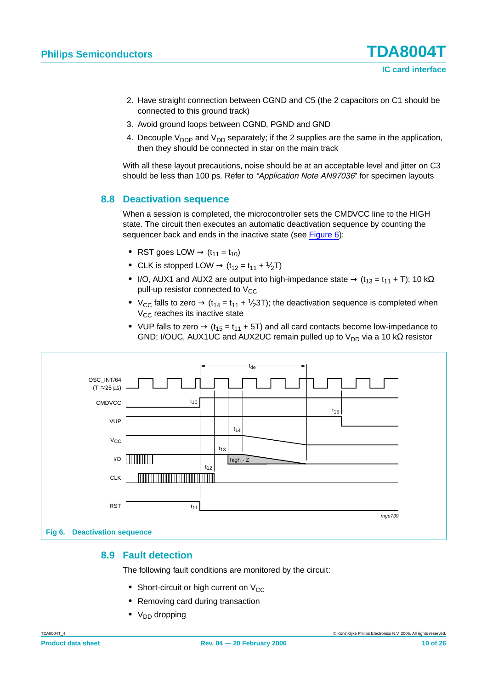- 2. Have straight connection between CGND and C5 (the 2 capacitors on C1 should be connected to this ground track)
- 3. Avoid ground loops between CGND, PGND and GND
- 4. Decouple  $V_{\text{DDP}}$  and  $V_{\text{DD}}$  separately; if the 2 supplies are the same in the application, then they should be connected in star on the main track

With all these layout precautions, noise should be at an acceptable level and jitter on C3 should be less than 100 ps. Refer to "Application Note AN97036" for specimen layouts

#### <span id="page-9-2"></span>**8.8 Deactivation sequence**

When a session is completed, the microcontroller sets the CMDVCC line to the HIGH state. The circuit then executes an automatic deactivation sequence by counting the sequencer back and ends in the inactive state (see [Figure](#page-9-1) 6):

- RST goes LOW  $\rightarrow$   $(t_{11} = t_{10})$
- CLK is stopped LOW  $\rightarrow$  (t<sub>12</sub> = t<sub>11</sub> +  $\frac{1}{2}$ T)
- I/O, AUX1 and AUX2 are output into high-impedance state  $\rightarrow$  (t<sub>13</sub> = t<sub>11</sub> + T); 10 kΩ pull-up resistor connected to  $V_{CC}$
- $V_{CC}$  falls to zero  $\rightarrow$  (t<sub>14</sub> = t<sub>11</sub> + <sup>1</sup>/<sub>2</sub>3T); the deactivation sequence is completed when  $V_{CC}$  reaches its inactive state
- VUP falls to zero  $\rightarrow$  (t<sub>15</sub> = t<sub>11</sub> + 5T) and all card contacts become low-impedance to GND; I/OUC, AUX1UC and AUX2UC remain pulled up to  $V_{DD}$  via a 10 k $\Omega$  resistor



#### <span id="page-9-1"></span><span id="page-9-0"></span>**8.9 Fault detection**

The following fault conditions are monitored by the circuit:

- Short-circuit or high current on V<sub>CC</sub>
- **•** Removing card during transaction
- V<sub>DD</sub> dropping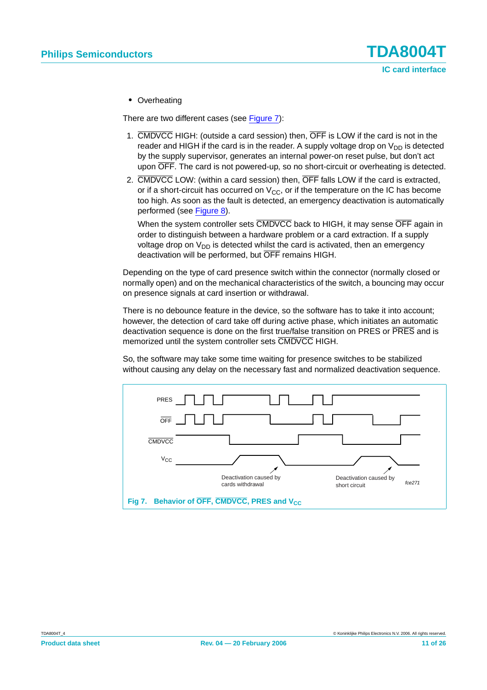**•** Overheating

There are two different cases (see [Figure](#page-10-0) 7):

- 1. CMDVCC HIGH: (outside a card session) then, OFF is LOW if the card is not in the reader and HIGH if the card is in the reader. A supply voltage drop on  $V_{DD}$  is detected by the supply supervisor, generates an internal power-on reset pulse, but don't act upon OFF. The card is not powered-up, so no short-circuit or overheating is detected.
- 2. CMDVCC LOW: (within a card session) then, OFF falls LOW if the card is extracted, or if a short-circuit has occurred on  $V_{CC}$ , or if the temperature on the IC has become too high. As soon as the fault is detected, an emergency deactivation is automatically performed (see [Figure](#page-11-0) 8).

When the system controller sets CMDVCC back to HIGH, it may sense OFF again in order to distinguish between a hardware problem or a card extraction. If a supply voltage drop on  $V_{DD}$  is detected whilst the card is activated, then an emergency deactivation will be performed, but OFF remains HIGH.

Depending on the type of card presence switch within the connector (normally closed or normally open) and on the mechanical characteristics of the switch, a bouncing may occur on presence signals at card insertion or withdrawal.

There is no debounce feature in the device, so the software has to take it into account; however, the detection of card take off during active phase, which initiates an automatic deactivation sequence is done on the first true/false transition on PRES or PRES and is memorized until the system controller sets CMDVCC HIGH.

So, the software may take some time waiting for presence switches to be stabilized without causing any delay on the necessary fast and normalized deactivation sequence.

<span id="page-10-0"></span>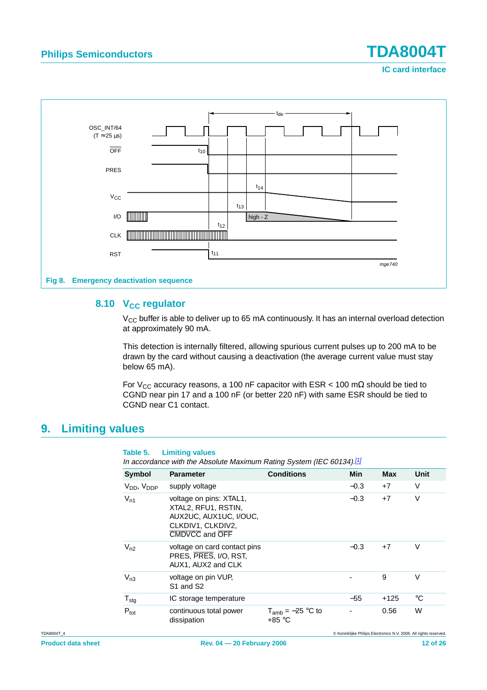**IC card interface**



#### <span id="page-11-1"></span><span id="page-11-0"></span>8.10 V<sub>CC</sub> regulator

 $V_{CC}$  buffer is able to deliver up to 65 mA continuously. It has an internal overload detection at approximately 90 mA.

This detection is internally filtered, allowing spurious current pulses up to 200 mA to be drawn by the card without causing a deactivation (the average current value must stay below 65 mA).

For V<sub>CC</sub> accuracy reasons, a 100 nF capacitor with ESR < 100 m $\Omega$  should be tied to CGND near pin 17 and a 100 nF (or better 220 nF) with same ESR should be tied to CGND near C1 contact.

### <span id="page-11-2"></span>**9. Limiting values**

#### **Table 5. Limiting values**

In accordance with the Absolute Maximum Rating System (IEC 60134).<sup>[\[1\]](#page-12-0)</sup>

| <b>Symbol</b>        | <b>Parameter</b>                                                                                                | <b>Conditions</b>               | Min    | <b>Max</b> | <b>Unit</b> |
|----------------------|-----------------------------------------------------------------------------------------------------------------|---------------------------------|--------|------------|-------------|
| $V_{DD}$ , $V_{DDP}$ | supply voltage                                                                                                  |                                 | $-0.3$ | $+7$       | V           |
| $V_{n1}$             | voltage on pins: XTAL1,<br>XTAL2, RFU1, RSTIN,<br>AUX2UC, AUX1UC, I/OUC,<br>CLKDIV1, CLKDIV2,<br>CMDVCC and OFF |                                 | $-0.3$ | $+7$       | V           |
| $V_{n2}$             | voltage on card contact pins<br>PRES, PRES, I/O, RST,<br>AUX1, AUX2 and CLK                                     |                                 | $-0.3$ | $+7$       | V           |
| $V_{n3}$             | voltage on pin VUP,<br>S1 and S2                                                                                |                                 |        | 9          | V           |
| $T_{\text{stg}}$     | IC storage temperature                                                                                          |                                 | $-55$  | $+125$     | °C          |
| $P_{\text{tot}}$     | continuous total power<br>dissipation                                                                           | $T_{amb} = -25$ °C to<br>+85 °C |        | 0.56       | W           |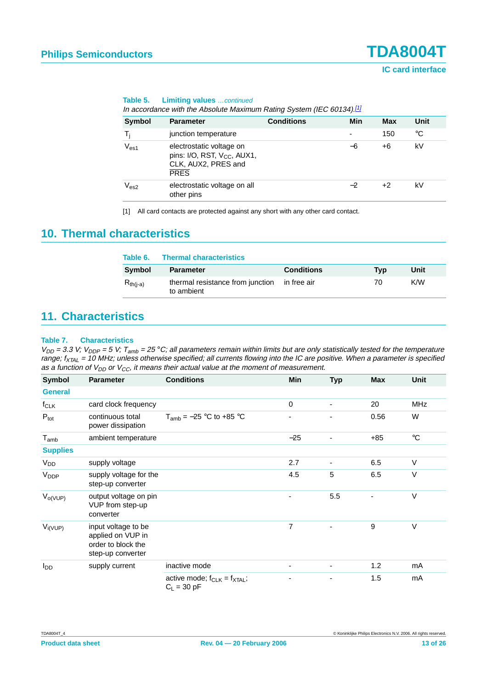| Table 5. |  | <b>Limiting values</b> continued |
|----------|--|----------------------------------|
|          |  |                                  |

In accordance with the Absolute Maximum Rating System (IEC 60134).<sup>[1]</sup>

| <b>Symbol</b> | <b>Parameter</b>                                                                                          | <b>Conditions</b> | Min                      | <b>Max</b> | Unit |
|---------------|-----------------------------------------------------------------------------------------------------------|-------------------|--------------------------|------------|------|
| T,            | junction temperature                                                                                      |                   | $\overline{\phantom{0}}$ | 150        | °C   |
| $V_{es1}$     | electrostatic voltage on<br>pins: I/O, RST, V <sub>CC</sub> , AUX1,<br>CLK, AUX2, PRES and<br><b>PRES</b> |                   | -6                       | +6         | kV   |
| $\rm V_{es2}$ | electrostatic voltage on all<br>other pins                                                                |                   | $-2$                     | +2         | kV   |
|               |                                                                                                           |                   |                          |            |      |

<span id="page-12-0"></span>[1] All card contacts are protected against any short with any other card contact.

### <span id="page-12-1"></span>**10. Thermal characteristics**

| Table 6.      | <b>Thermal characteristics</b>                             |                   |     |      |
|---------------|------------------------------------------------------------|-------------------|-----|------|
| Symbol        | <b>Parameter</b>                                           | <b>Conditions</b> | Typ | Unit |
| $R_{th(i-a)}$ | thermal resistance from junction in free air<br>to ambient |                   | 70  | K/W  |

### <span id="page-12-2"></span>**11. Characteristics**

#### **Table 7. Characteristics**

| Symbol                      | <b>Parameter</b>                                                                    | <b>Conditions</b>                                    | Min                      | <b>Typ</b>               | <b>Max</b> | Unit            |
|-----------------------------|-------------------------------------------------------------------------------------|------------------------------------------------------|--------------------------|--------------------------|------------|-----------------|
| <b>General</b>              |                                                                                     |                                                      |                          |                          |            |                 |
| $f_{CLK}$                   | card clock frequency                                                                |                                                      | 0                        | $\blacksquare$           | 20         | MHz             |
| $P_{\text{tot}}$            | continuous total<br>power dissipation                                               | $T_{amb} = -25$ °C to +85 °C                         | ۰.                       | $\blacksquare$           | 0.56       | W               |
| $\mathsf{T}_{\mathsf{amb}}$ | ambient temperature                                                                 |                                                      | $-25$                    |                          | $+85$      | $\rm ^{\circ}C$ |
| <b>Supplies</b>             |                                                                                     |                                                      |                          |                          |            |                 |
| V <sub>DD</sub>             | supply voltage                                                                      |                                                      | 2.7                      | $\overline{\phantom{a}}$ | 6.5        | $\vee$          |
| V <sub>DDP</sub>            | supply voltage for the<br>step-up converter                                         |                                                      | 4.5                      | 5                        | 6.5        | $\vee$          |
| $V_{O(VUP)}$                | output voltage on pin<br>VUP from step-up<br>converter                              |                                                      | -                        | 5.5                      | ٠          | $\vee$          |
| $V_{i(VUP)}$                | input voltage to be<br>applied on VUP in<br>order to block the<br>step-up converter |                                                      | 7                        | $\overline{\phantom{a}}$ | 9          | $\vee$          |
| l <sub>DD</sub>             | supply current                                                                      | inactive mode                                        | $\overline{\phantom{a}}$ | $\overline{\phantom{a}}$ | 1.2        | mA              |
|                             |                                                                                     | active mode; $f_{CLK} = f_{XTAL}$ ;<br>$C_L$ = 30 pF |                          | $\overline{\phantom{0}}$ | 1.5        | mA              |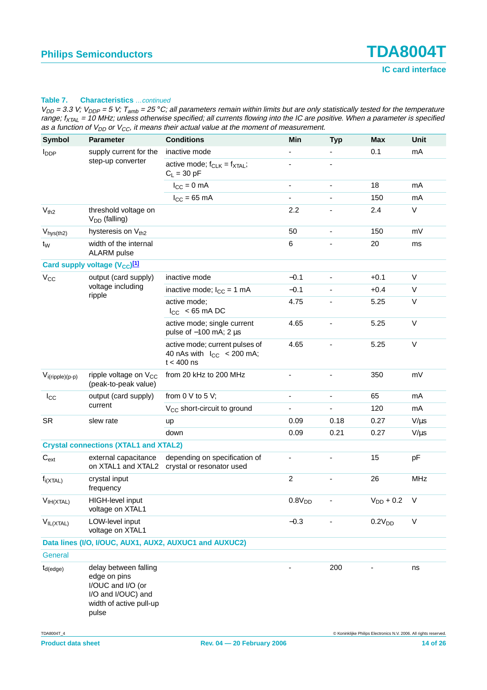| <b>Symbol</b>                                          | <b>Parameter</b>                                                                                                     | <b>Conditions</b>                                                                         | Min                      | <b>Typ</b>                   | Max                | Unit         |  |
|--------------------------------------------------------|----------------------------------------------------------------------------------------------------------------------|-------------------------------------------------------------------------------------------|--------------------------|------------------------------|--------------------|--------------|--|
| <b>I</b> <sub>DDP</sub>                                | supply current for the                                                                                               | inactive mode                                                                             |                          |                              | 0.1                | mA           |  |
|                                                        | step-up converter                                                                                                    | active mode; $f_{CLK} = f_{XTAL}$ ;<br>$C_L$ = 30 pF                                      | ٠                        | ٠                            |                    |              |  |
|                                                        |                                                                                                                      | $I_{CC} = 0$ mA                                                                           | $\overline{\phantom{a}}$ | $\qquad \qquad \blacksquare$ | 18                 | mA           |  |
|                                                        |                                                                                                                      | $I_{CC}$ = 65 mA                                                                          | ÷,                       |                              | 150                | mA           |  |
| $V_{th2}$                                              | threshold voltage on<br>$V_{DD}$ (falling)                                                                           |                                                                                           | 2.2                      |                              | 2.4                | $\mathsf{V}$ |  |
| V <sub>hys(th2)</sub>                                  | hysteresis on Vth <sub>2</sub>                                                                                       |                                                                                           | 50                       | ä,                           | 150                | mV           |  |
| t <sub>W</sub>                                         | width of the internal<br><b>ALARM</b> pulse                                                                          |                                                                                           | 6                        |                              | 20                 | ms           |  |
|                                                        | Card supply voltage (V <sub>CC</sub> )[1]                                                                            |                                                                                           |                          |                              |                    |              |  |
| $V_{\rm CC}$                                           | output (card supply)                                                                                                 | inactive mode                                                                             | $-0.1$                   | $\qquad \qquad \blacksquare$ | $+0.1$             | V            |  |
|                                                        | voltage including<br>ripple                                                                                          | inactive mode; $I_{CC} = 1$ mA                                                            | $-0.1$                   | $\frac{1}{2}$                | $+0.4$             | V            |  |
|                                                        |                                                                                                                      | active mode:<br>$ I_{\rm CC} $ < 65 mA DC                                                 | 4.75                     | $\overline{\phantom{0}}$     | 5.25               | $\vee$       |  |
|                                                        |                                                                                                                      | active mode; single current<br>pulse of $-100$ mA; 2 $\mu$ s                              | 4.65                     |                              | 5.25               | $\vee$       |  |
|                                                        |                                                                                                                      | active mode; current pulses of<br>40 nAs with $ I_{\text{CC}} $ < 200 mA;<br>$t < 400$ ns | 4.65                     |                              | 5.25               | V            |  |
| $V_{i(ripple)(p-p)}$                                   | ripple voltage on V <sub>CC</sub><br>(peak-to-peak value)                                                            | from 20 kHz to 200 MHz                                                                    | $\overline{\phantom{0}}$ | $\overline{\phantom{0}}$     | 350                | mV           |  |
| $ I_{\rm CC} $                                         | output (card supply)                                                                                                 | from $0 \vee$ to $5 \vee$ ;                                                               | ٠                        | $\frac{1}{2}$                | 65                 | mA           |  |
|                                                        | current                                                                                                              | V <sub>CC</sub> short-circuit to ground                                                   |                          |                              | 120                | mA           |  |
| <b>SR</b>                                              | slew rate                                                                                                            | up                                                                                        | 0.09                     | 0.18                         | 0.27               | $V/\mu s$    |  |
|                                                        |                                                                                                                      | down                                                                                      | 0.09                     | 0.21                         | 0.27               | $V/\mu s$    |  |
|                                                        | <b>Crystal connections (XTAL1 and XTAL2)</b>                                                                         |                                                                                           |                          |                              |                    |              |  |
| $C_{\text{ext}}$                                       | external capacitance<br>on XTAL1 and XTAL2                                                                           | depending on specification of<br>crystal or resonator used                                |                          |                              | 15                 | pF           |  |
| $f_{i(XTAL)}$                                          | crystal input<br>frequency                                                                                           |                                                                                           | $\overline{2}$           | ٠                            | 26                 | <b>MHz</b>   |  |
| $V_{IH(XTAL)}$                                         | HIGH-level input<br>voltage on XTAL1                                                                                 |                                                                                           | 0.8V <sub>DD</sub>       |                              | $\rm V_{DD}$ + 0.2 | $\vee$       |  |
| $V_{IL(XTAL)}$                                         | LOW-level input<br>voltage on XTAL1                                                                                  |                                                                                           | $-0.3$                   |                              | 0.2V <sub>DD</sub> | $\mathsf V$  |  |
| Data lines (I/O, I/OUC, AUX1, AUX2, AUXUC1 and AUXUC2) |                                                                                                                      |                                                                                           |                          |                              |                    |              |  |
| General                                                |                                                                                                                      |                                                                                           |                          |                              |                    |              |  |
| $t_{d$ (edge)                                          | delay between falling<br>edge on pins<br>I/OUC and I/O (or<br>I/O and I/OUC) and<br>width of active pull-up<br>pulse |                                                                                           |                          | 200                          |                    | ns           |  |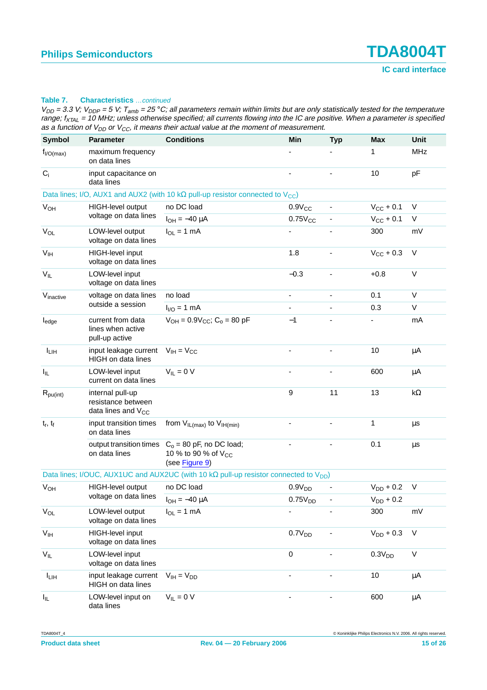| <b>Symbol</b>                                   | <b>Parameter</b>                                                  | <b>Conditions</b>                                                                                  | Min                      | <b>Typ</b>     | <b>Max</b>         | Unit       |
|-------------------------------------------------|-------------------------------------------------------------------|----------------------------------------------------------------------------------------------------|--------------------------|----------------|--------------------|------------|
| $f_{I/O(max)}$                                  | maximum frequency<br>on data lines                                |                                                                                                    |                          |                | 1                  | <b>MHz</b> |
| $C_i$                                           | input capacitance on<br>data lines                                |                                                                                                    |                          |                | 10                 | рF         |
|                                                 |                                                                   | Data lines; I/O, AUX1 and AUX2 (with 10 k $\Omega$ pull-up resistor connected to $V_{\text{CC}}$ ) |                          |                |                    |            |
| <b>V<sub>OH</sub></b>                           | HIGH-level output                                                 | no DC load                                                                                         | $0.9V_{CC}$              |                | $V_{CC}$ + 0.1     | V          |
|                                                 | voltage on data lines                                             | $I_{OH} = -40 \mu A$                                                                               | $0.75V_{CC}$             |                | $V_{CC}$ + 0.1     | V          |
| $V_{OL}$                                        | LOW-level output<br>voltage on data lines                         | $I_{OL}$ = 1 mA                                                                                    |                          |                | 300                | mV         |
| V <sub>IH</sub>                                 | HIGH-level input<br>voltage on data lines                         |                                                                                                    | 1.8                      |                | $V_{CC}$ + 0.3     | $\vee$     |
| $V_{IL}$                                        | LOW-level input<br>voltage on data lines                          |                                                                                                    | $-0.3$                   | $\blacksquare$ | $+0.8$             | $\vee$     |
| Vinactive                                       | voltage on data lines                                             | no load                                                                                            | $\overline{\phantom{a}}$ | $\blacksquare$ | 0.1                | V          |
|                                                 | outside a session                                                 | $I_{1/O} = 1$ mA                                                                                   | $\blacksquare$           |                | 0.3                | V          |
| $I_{\text{edge}}$                               | current from data<br>lines when active<br>pull-up active          | $V_{OH} = 0.9V_{CC}$ ; C <sub>o</sub> = 80 pF                                                      | $-1$                     |                |                    | mA         |
| $\left\vert \mathbf{1}_{\text{LIH}}\right\vert$ | input leakage current<br><b>HIGH</b> on data lines                | $V_{IH} = V_{CC}$                                                                                  |                          |                | 10                 | μA         |
| $I_{IL}$                                        | LOW-level input<br>current on data lines                          | $V_{IL} = 0 V$                                                                                     |                          |                | 600                | μA         |
| $R_{pu(int)}$                                   | internal pull-up<br>resistance between<br>data lines and $V_{CC}$ |                                                                                                    | 9                        | 11             | 13                 | $k\Omega$  |
| $t_r$ , $t_f$                                   | input transition times<br>on data lines                           | from $V_{IL(max)}$ to $V_{IH(min)}$                                                                |                          |                | 1                  | $\mu$ s    |
|                                                 | output transition times<br>on data lines                          | $Co = 80$ pF, no DC load;<br>10 % to 90 % of V <sub>CC</sub><br>(see Figure 9)                     |                          |                | 0.1                | μs         |
|                                                 |                                                                   | Data lines; I/OUC, AUX1UC and AUX2UC (with 10 k $\Omega$ pull-up resistor connected to $V_{DD}$ )  |                          |                |                    |            |
| <b>V<sub>OH</sub></b>                           | HIGH-level output                                                 | no DC load                                                                                         | 0.9V <sub>DD</sub>       |                | $V_{DD}$ + 0.2     | V          |
|                                                 | voltage on data lines                                             | $I_{OH} = -40 \mu A$                                                                               | 0.75V <sub>DD</sub>      |                | $\rm V_{DD}$ + 0.2 |            |
| $V_{OL}$                                        | LOW-level output<br>voltage on data lines                         | $I_{OL} = 1$ mA                                                                                    |                          |                | 300                | mV         |
| $V_{\text{IH}}$                                 | HIGH-level input<br>voltage on data lines                         |                                                                                                    | 0.7V <sub>DD</sub>       |                | $V_{DD}$ + 0.3     | $\vee$     |
| $\mathsf{V}_{\mathsf{IL}}$                      | LOW-level input<br>voltage on data lines                          |                                                                                                    | $\mathbf 0$              |                | 0.3V <sub>DD</sub> | $\sf V$    |
| $ I_{LIH} $                                     | input leakage current<br>HIGH on data lines                       | $V_{IH} = V_{DD}$                                                                                  |                          |                | 10                 | μA         |
| $I_{IL}$                                        | LOW-level input on<br>data lines                                  | $V_{IL} = 0 V$                                                                                     |                          |                | 600                | μA         |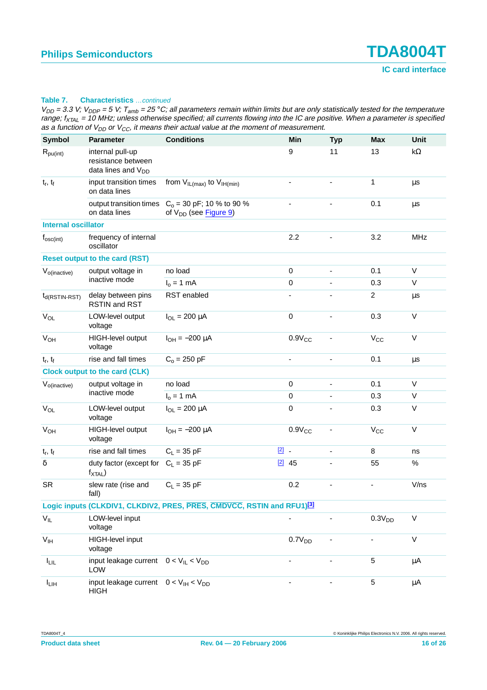| <b>Symbol</b>                                                                      | <b>Parameter</b>                                                         | <b>Conditions</b>                                                |                | Min                          | <b>Typ</b>                   | <b>Max</b>               | Unit        |
|------------------------------------------------------------------------------------|--------------------------------------------------------------------------|------------------------------------------------------------------|----------------|------------------------------|------------------------------|--------------------------|-------------|
| $R_{\text{pu(int)}}$                                                               | internal pull-up<br>resistance between<br>data lines and V <sub>DD</sub> |                                                                  |                | 9                            | 11                           | 13                       | k $\Omega$  |
| $t_r$ , $t_f$                                                                      | input transition times<br>on data lines                                  | from $V_{IL(max)}$ to $V_{IH(min)}$                              |                |                              |                              | 1                        | μs          |
|                                                                                    | output transition times<br>on data lines                                 | $C_0$ = 30 pF; 10 % to 90 %<br>of V <sub>DD</sub> (see Figure 9) |                |                              | $\qquad \qquad \blacksquare$ | 0.1                      | μs          |
| <b>Internal oscillator</b>                                                         |                                                                          |                                                                  |                |                              |                              |                          |             |
| $f_{\rm osc(int)}$                                                                 | frequency of internal<br>oscillator                                      |                                                                  |                | 2.2                          |                              | 3.2                      | <b>MHz</b>  |
|                                                                                    | <b>Reset output to the card (RST)</b>                                    |                                                                  |                |                              |                              |                          |             |
| $V_{o(inactive)}$                                                                  | output voltage in                                                        | no load                                                          |                | 0                            | $\frac{1}{2}$                | 0.1                      | V           |
|                                                                                    | inactive mode                                                            | $Io = 1 mA$                                                      |                | 0                            | $\qquad \qquad \blacksquare$ | 0.3                      | V           |
| $t_{d(RSTIN-RST)}$                                                                 | delay between pins<br><b>RSTIN and RST</b>                               | RST enabled                                                      |                |                              |                              | $\overline{2}$           | $\mu$ s     |
| <b>V<sub>OL</sub></b>                                                              | LOW-level output<br>voltage                                              | $I_{OL} = 200 \mu A$                                             |                | 0                            | $\qquad \qquad \blacksquare$ | 0.3                      | V           |
| V <sub>OH</sub>                                                                    | HIGH-level output<br>voltage                                             | $I_{OH} = -200 \mu A$                                            |                | $0.9V_{CC}$                  | ä,                           | $V_{\rm CC}$             | $\sf V$     |
| $t_r$ , $t_f$                                                                      | rise and fall times                                                      | $C_0 = 250$ pF                                                   |                | $\overline{\phantom{a}}$     | $\frac{1}{2}$                | 0.1                      | μs          |
| <b>Clock output to the card (CLK)</b>                                              |                                                                          |                                                                  |                |                              |                              |                          |             |
| $V_{o(inactive)}$                                                                  | output voltage in<br>inactive mode                                       | no load                                                          |                | 0                            | $\qquad \qquad \blacksquare$ | 0.1                      | V           |
|                                                                                    |                                                                          | $Io = 1 mA$                                                      |                | 0                            | $\qquad \qquad \blacksquare$ | 0.3                      | V           |
| $V_{OL}$                                                                           | LOW-level output<br>voltage                                              | $I_{OL} = 200 \mu A$                                             |                | 0                            |                              | 0.3                      | V           |
| V <sub>OH</sub>                                                                    | HIGH-level output<br>voltage                                             | $I_{OH} = -200 \mu A$                                            |                | $0.9V_{CC}$                  | $\qquad \qquad \blacksquare$ | $V_{CC}$                 | V           |
| $t_r$ , $t_f$                                                                      | rise and fall times                                                      | $C_L = 35$ pF                                                    | $\boxed{2}$ .  |                              | $\overline{\phantom{0}}$     | 8                        | ns          |
| δ                                                                                  | duty factor (except for $C_L = 35$ pF<br>$f_{\text{XTAL}}$               |                                                                  | $\boxed{2}$ 45 |                              |                              | 55                       | %           |
| <b>SR</b>                                                                          | slew rate (rise and<br>fall)                                             | $C_L = 35$ pF                                                    |                | 0.2                          | ٠                            | $\overline{\phantom{a}}$ | V/ns        |
| Logic inputs (CLKDIV1, CLKDIV2, PRES, PRES, CMDVCC, RSTIN and RFU1) <sup>[3]</sup> |                                                                          |                                                                  |                |                              |                              |                          |             |
| $V_{IL}$                                                                           | LOW-level input<br>voltage                                               |                                                                  |                |                              |                              | 0.3V <sub>DD</sub>       | $\mathsf V$ |
| V <sub>IH</sub>                                                                    | <b>HIGH-level input</b><br>voltage                                       |                                                                  |                | 0.7V <sub>DD</sub>           |                              |                          | $\mathsf V$ |
| $ I_{LIL} $                                                                        | input leakage current $0 < V_{IL} < V_{DD}$<br>LOW                       |                                                                  |                |                              |                              | 5                        | μA          |
| $ I_{LIH} $                                                                        | input leakage current $0 < V_{\text{IH}} < V_{\text{DD}}$<br><b>HIGH</b> |                                                                  |                | $\qquad \qquad \blacksquare$ | -                            | 5                        | μA          |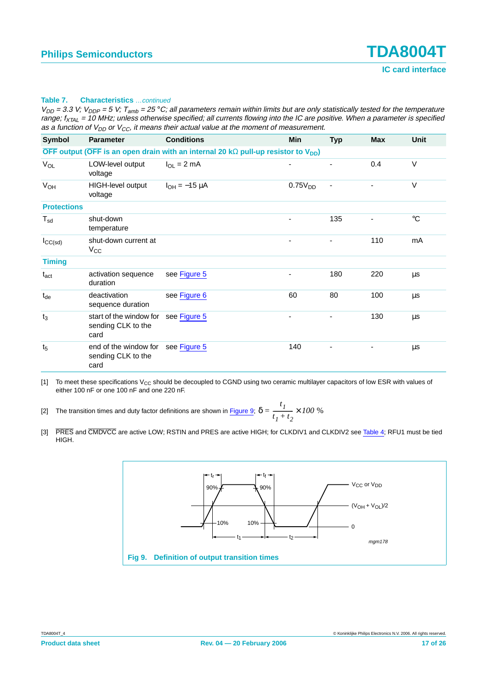$V_{DD}$  = 3.3 V;  $V_{DDP}$  = 5 V;  $T_{amb}$  = 25 °C; all parameters remain within limits but are only statistically tested for the temperature range;  $f_{XTAL}$  = 10 MHz; unless otherwise specified; all currents flowing into the IC are positive. When a parameter is specified as a function of  $V_{DD}$  or  $V_{CC}$ , it means their actual value at the moment of measurement.

| Symbol                                                                                         | <b>Parameter</b>                                      | <b>Conditions</b>    | Min                 | <b>Typ</b>               | <b>Max</b> | <b>Unit</b> |  |
|------------------------------------------------------------------------------------------------|-------------------------------------------------------|----------------------|---------------------|--------------------------|------------|-------------|--|
| OFF output (OFF is an open drain with an internal 20 k $\Omega$ pull-up resistor to $V_{DD}$ ) |                                                       |                      |                     |                          |            |             |  |
| VOL                                                                                            | LOW-level output<br>voltage                           | $I_{OL} = 2$ mA      |                     | ٠                        | 0.4        | $\vee$      |  |
| V <sub>OH</sub>                                                                                | HIGH-level output<br>voltage                          | $I_{OH} = -15 \mu A$ | 0.75V <sub>DD</sub> |                          |            | $\vee$      |  |
| <b>Protections</b>                                                                             |                                                       |                      |                     |                          |            |             |  |
| $T_{sd}$                                                                                       | shut-down<br>temperature                              |                      |                     | 135                      |            | $^{\circ}C$ |  |
| $I_{CC(sd)}$                                                                                   | shut-down current at<br>$V_{\rm CC}$                  |                      |                     | $\overline{\phantom{0}}$ | 110        | mA          |  |
| <b>Timing</b>                                                                                  |                                                       |                      |                     |                          |            |             |  |
| $t_{\rm act}$                                                                                  | activation sequence<br>duration                       | see Figure 5         |                     | 180                      | 220        | μs          |  |
| $t_{de}$                                                                                       | deactivation<br>sequence duration                     | see Figure 6         | 60                  | 80                       | 100        | μs          |  |
| $t_3$                                                                                          | start of the window for<br>sending CLK to the<br>card | see Figure 5         |                     |                          | 130        | μs          |  |
| t <sub>5</sub>                                                                                 | end of the window for<br>sending CLK to the<br>card   | see Figure 5         | 140                 |                          |            | μs          |  |

<span id="page-16-2"></span><span id="page-16-0"></span>[1] To meet these specifications  $V_{CC}$  should be decoupled to CGND using two ceramic multilayer capacitors of low ESR with values of either 100 nF or one 100 nF and one 220 nF.

[2] The transition times and duty factor definitions are shown in [Figure](#page-16-1) 9;  $\delta$ *t 1*  $=\frac{1}{t_1+t_2}\times 100\%$ 

<span id="page-16-3"></span>[3] PRES and CMDVCC are active LOW; RSTIN and PRES are active HIGH; for CLKDIV1 and CLKDIV2 see [Table](#page-6-0) 4; RFU1 must be tied HIGH.

<span id="page-16-1"></span>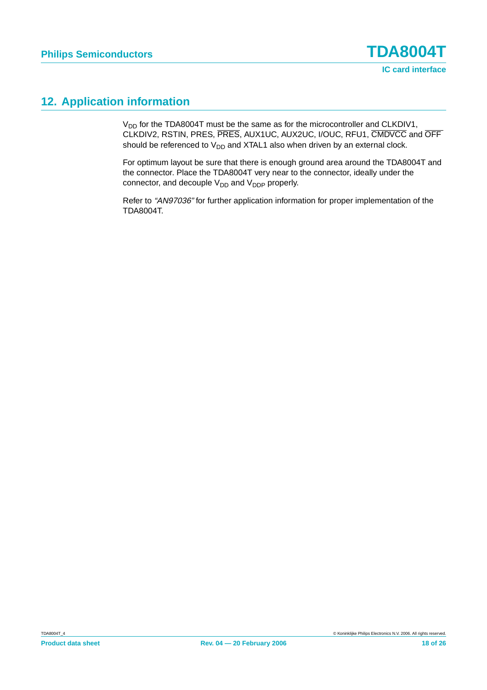### <span id="page-17-0"></span>**12. Application information**

 $V_{DD}$  for the TDA8004T must be the same as for the microcontroller and CLKDIV1, CLKDIV2, RSTIN, PRES, PRES, AUX1UC, AUX2UC, I/OUC, RFU1, CMDVCC and OFF should be referenced to  $V_{DD}$  and XTAL1 also when driven by an external clock.

For optimum layout be sure that there is enough ground area around the TDA8004T and the connector. Place the TDA8004T very near to the connector, ideally under the connector, and decouple  $V_{DD}$  and  $V_{DDP}$  properly.

Refer to "AN97036" for further application information for proper implementation of the TDA8004T.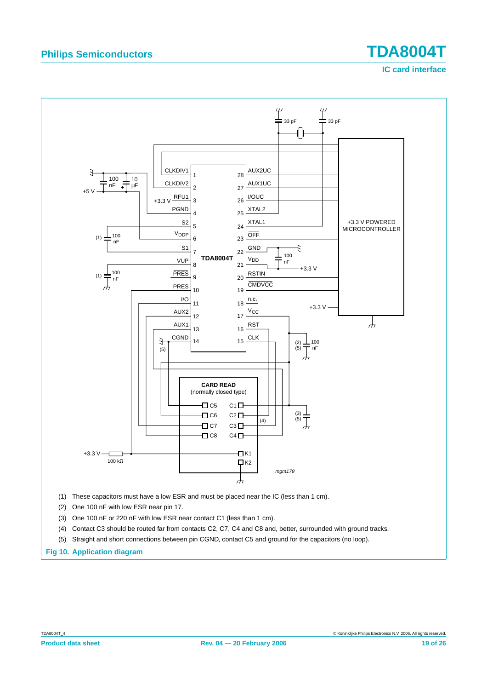# **Philips Semiconductors TDA8004T**

**IC card interface**



- (2) One 100 nF with low ESR near pin 17.
- (3) One 100 nF or 220 nF with low ESR near contact C1 (less than 1 cm).
- (4) Contact C3 should be routed far from contacts C2, C7, C4 and C8 and, better, surrounded with ground tracks.
- (5) Straight and short connections between pin CGND, contact C5 and ground for the capacitors (no loop).

**Fig 10. Application diagram**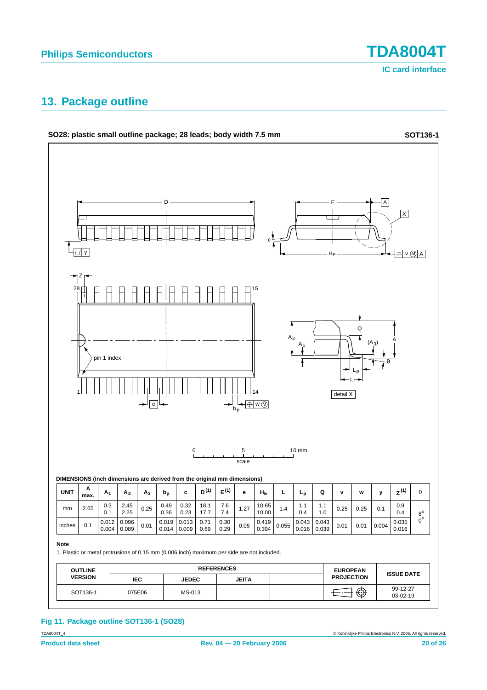**IC card interface**

### <span id="page-19-0"></span>**13. Package outline**



#### **Fig 11. Package outline SOT136-1 (SO28)**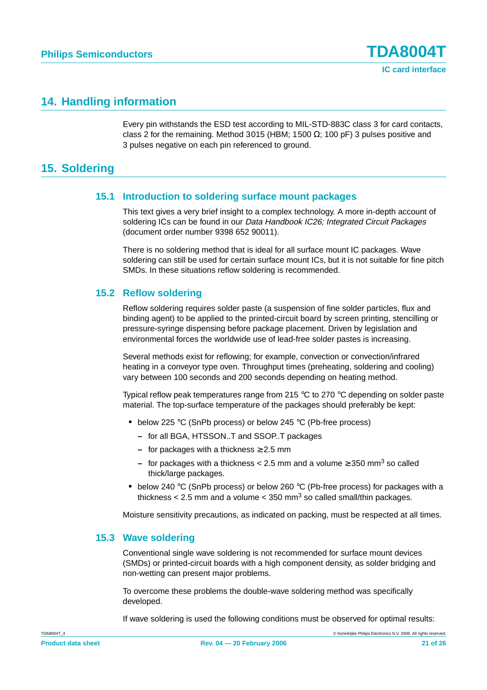### <span id="page-20-0"></span>**14. Handling information**

Every pin withstands the ESD test according to MIL-STD-883C class 3 for card contacts, class 2 for the remaining. Method 3015 (HBM; 1500  $\Omega$ ; 100 pF) 3 pulses positive and 3 pulses negative on each pin referenced to ground.

### <span id="page-20-2"></span><span id="page-20-1"></span>**15. Soldering**

#### **15.1 Introduction to soldering surface mount packages**

This text gives a very brief insight to a complex technology. A more in-depth account of soldering ICs can be found in our Data Handbook IC26; Integrated Circuit Packages (document order number 9398 652 90011).

There is no soldering method that is ideal for all surface mount IC packages. Wave soldering can still be used for certain surface mount ICs, but it is not suitable for fine pitch SMDs. In these situations reflow soldering is recommended.

#### <span id="page-20-3"></span>**15.2 Reflow soldering**

Reflow soldering requires solder paste (a suspension of fine solder particles, flux and binding agent) to be applied to the printed-circuit board by screen printing, stencilling or pressure-syringe dispensing before package placement. Driven by legislation and environmental forces the worldwide use of lead-free solder pastes is increasing.

Several methods exist for reflowing; for example, convection or convection/infrared heating in a conveyor type oven. Throughput times (preheating, soldering and cooling) vary between 100 seconds and 200 seconds depending on heating method.

Typical reflow peak temperatures range from 215 °C to 270 °C depending on solder paste material. The top-surface temperature of the packages should preferably be kept:

- **•** below 225 °C (SnPb process) or below 245 °C (Pb-free process)
	- **–** for all BGA, HTSSON..T and SSOP..T packages
	- **–** for packages with a thickness ≥ 2.5 mm
	- **–** for packages with a thickness < 2.5 mm and a volume ≥ 350 mm3 so called thick/large packages.
- **•** below 240 °C (SnPb process) or below 260 °C (Pb-free process) for packages with a thickness  $< 2.5$  mm and a volume  $< 350$  mm<sup>3</sup> so called small/thin packages.

Moisture sensitivity precautions, as indicated on packing, must be respected at all times.

#### <span id="page-20-4"></span>**15.3 Wave soldering**

Conventional single wave soldering is not recommended for surface mount devices (SMDs) or printed-circuit boards with a high component density, as solder bridging and non-wetting can present major problems.

To overcome these problems the double-wave soldering method was specifically developed.

If wave soldering is used the following conditions must be observed for optimal results: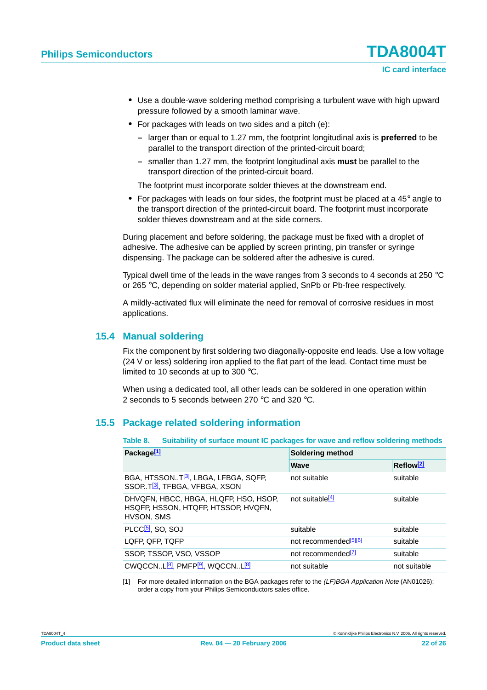- **•** Use a double-wave soldering method comprising a turbulent wave with high upward pressure followed by a smooth laminar wave.
- **•** For packages with leads on two sides and a pitch (e):
	- **–** larger than or equal to 1.27 mm, the footprint longitudinal axis is **preferred** to be parallel to the transport direction of the printed-circuit board;
	- **–** smaller than 1.27 mm, the footprint longitudinal axis **must** be parallel to the transport direction of the printed-circuit board.

The footprint must incorporate solder thieves at the downstream end.

**•** For packages with leads on four sides, the footprint must be placed at a 45° angle to the transport direction of the printed-circuit board. The footprint must incorporate solder thieves downstream and at the side corners.

During placement and before soldering, the package must be fixed with a droplet of adhesive. The adhesive can be applied by screen printing, pin transfer or syringe dispensing. The package can be soldered after the adhesive is cured.

Typical dwell time of the leads in the wave ranges from 3 seconds to 4 seconds at 250 °C or 265 °C, depending on solder material applied, SnPb or Pb-free respectively.

A mildly-activated flux will eliminate the need for removal of corrosive residues in most applications.

#### <span id="page-21-0"></span>**15.4 Manual soldering**

Fix the component by first soldering two diagonally-opposite end leads. Use a low voltage (24 V or less) soldering iron applied to the flat part of the lead. Contact time must be limited to 10 seconds at up to 300 °C.

When using a dedicated tool, all other leads can be soldered in one operation within 2 seconds to 5 seconds between 270 °C and 320 °C.

#### <span id="page-21-1"></span>**15.5 Package related soldering information**

**Table 8. Suitability of surface mount IC packages for wave and reflow soldering methods**

| Package <sup>[1]</sup>                                                                          | <b>Soldering method</b>           |                       |  |  |  |
|-------------------------------------------------------------------------------------------------|-----------------------------------|-----------------------|--|--|--|
|                                                                                                 | Wave                              | Reflow <sup>[2]</sup> |  |  |  |
| BGA, HTSSONT <sup>[3]</sup> , LBGA, LFBGA, SQFP,<br>SSOP. T <sup>[3]</sup> , TFBGA, VFBGA, XSON | not suitable                      | suitable              |  |  |  |
| DHVQFN, HBCC, HBGA, HLQFP, HSO, HSOP,<br>HSQFP, HSSON, HTQFP, HTSSOP, HVQFN,<br>HVSON, SMS      | not suitable <sup>[4]</sup>       | suitable              |  |  |  |
| PLCC <sup>[5]</sup> , SO, SOJ                                                                   | suitable                          | suitable              |  |  |  |
| LQFP, QFP, TQFP                                                                                 | not recommended <sup>[5][6]</sup> | suitable              |  |  |  |
| SSOP, TSSOP, VSO, VSSOP                                                                         | not recommended <sup>[7]</sup>    | suitable              |  |  |  |
| CWQCCNL <sup>[8]</sup> , PMFP <sup>[9]</sup> , WQCCNL <sup>[8]</sup>                            | not suitable                      | not suitable          |  |  |  |

[1] For more detailed information on the BGA packages refer to the (LF)BGA Application Note (AN01026); order a copy from your Philips Semiconductors sales office.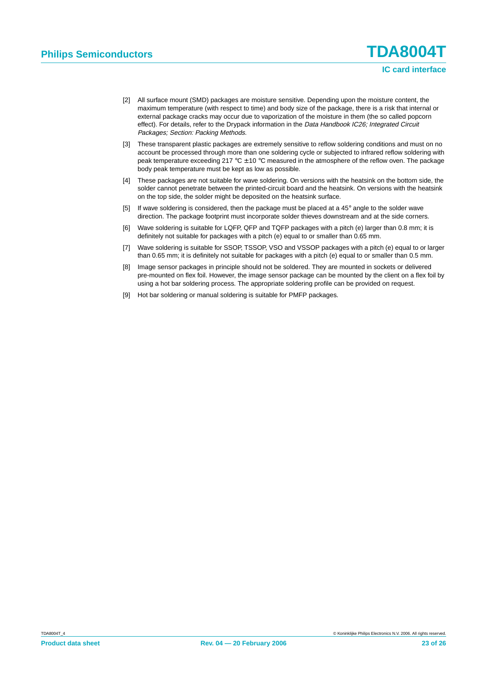- [2] All surface mount (SMD) packages are moisture sensitive. Depending upon the moisture content, the maximum temperature (with respect to time) and body size of the package, there is a risk that internal or external package cracks may occur due to vaporization of the moisture in them (the so called popcorn effect). For details, refer to the Drypack information in the Data Handbook IC26; Integrated Circuit Packages; Section: Packing Methods.
- [3] These transparent plastic packages are extremely sensitive to reflow soldering conditions and must on no account be processed through more than one soldering cycle or subjected to infrared reflow soldering with peak temperature exceeding 217 °C  $\pm$  10 °C measured in the atmosphere of the reflow oven. The package body peak temperature must be kept as low as possible.
- [4] These packages are not suitable for wave soldering. On versions with the heatsink on the bottom side, the solder cannot penetrate between the printed-circuit board and the heatsink. On versions with the heatsink on the top side, the solder might be deposited on the heatsink surface.
- [5] If wave soldering is considered, then the package must be placed at a 45° angle to the solder wave direction. The package footprint must incorporate solder thieves downstream and at the side corners.
- [6] Wave soldering is suitable for LQFP, QFP and TQFP packages with a pitch (e) larger than 0.8 mm; it is definitely not suitable for packages with a pitch (e) equal to or smaller than 0.65 mm.
- [7] Wave soldering is suitable for SSOP, TSSOP, VSO and VSSOP packages with a pitch (e) equal to or larger than 0.65 mm; it is definitely not suitable for packages with a pitch (e) equal to or smaller than 0.5 mm.
- [8] Image sensor packages in principle should not be soldered. They are mounted in sockets or delivered pre-mounted on flex foil. However, the image sensor package can be mounted by the client on a flex foil by using a hot bar soldering process. The appropriate soldering profile can be provided on request.
- [9] Hot bar soldering or manual soldering is suitable for PMFP packages.

**IC card interface**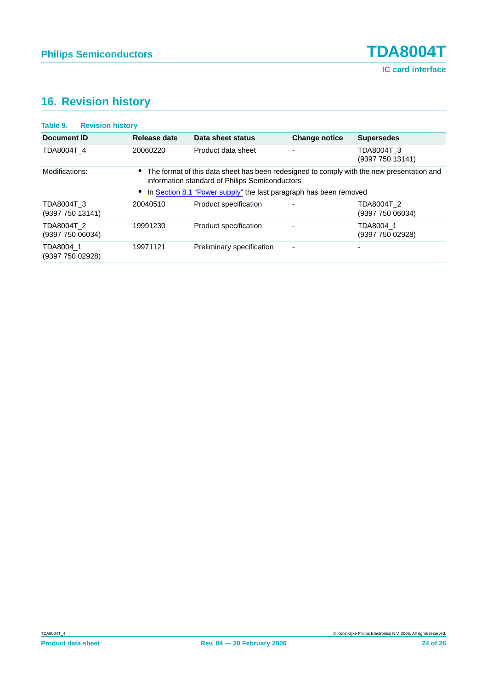## <span id="page-23-0"></span>**16. Revision history**

| Table 9.                       | <b>Revision history</b> |              |                                                                                                                                             |                          |                                |
|--------------------------------|-------------------------|--------------|---------------------------------------------------------------------------------------------------------------------------------------------|--------------------------|--------------------------------|
| <b>Document ID</b>             |                         | Release date | Data sheet status                                                                                                                           | <b>Change notice</b>     | <b>Supersedes</b>              |
| TDA8004T 4                     |                         | 20060220     | Product data sheet                                                                                                                          |                          | TDA8004T 3<br>(9397 750 13141) |
| Modifications:                 |                         |              | The format of this data sheet has been redesigned to comply with the new presentation and<br>information standard of Philips Semiconductors |                          |                                |
|                                |                         |              | In Section 8.1 "Power supply" the last paragraph has been removed                                                                           |                          |                                |
| TDA8004T 3<br>(9397 750 13141) |                         | 20040510     | Product specification                                                                                                                       |                          | TDA8004T 2<br>(9397 750 06034) |
| TDA8004T 2<br>(9397 750 06034) |                         | 19991230     | Product specification                                                                                                                       | ٠                        | TDA8004 1<br>(9397 750 02928)  |
| TDA8004 1<br>(9397 750 02928)  |                         | 19971121     | Preliminary specification                                                                                                                   | $\overline{\phantom{a}}$ | -                              |
|                                |                         |              |                                                                                                                                             |                          |                                |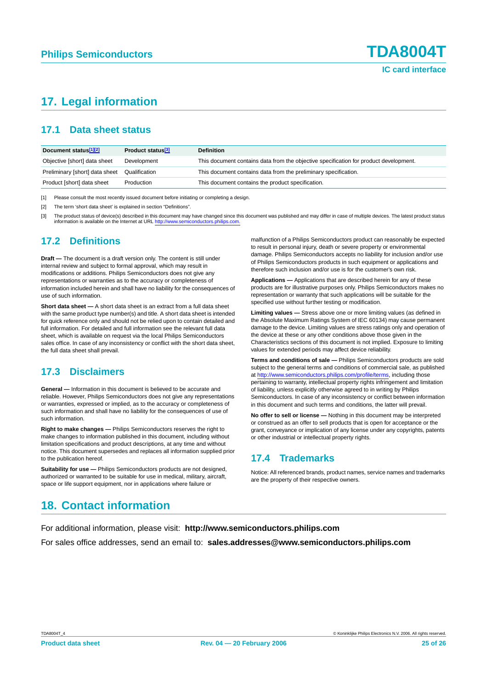### **IC card interface**

### <span id="page-24-0"></span>**17. Legal information**

#### <span id="page-24-1"></span>**17.1 Data sheet status**

| Document status <sup>[1][2]</sup> | Product status <sup>[3]</sup> | <b>Definition</b>                                                                     |
|-----------------------------------|-------------------------------|---------------------------------------------------------------------------------------|
| Objective [short] data sheet      | Development                   | This document contains data from the objective specification for product development. |
| Preliminary [short] data sheet    | Qualification                 | This document contains data from the preliminary specification.                       |
| Product [short] data sheet        | Production                    | This document contains the product specification.                                     |

[1] Please consult the most recently issued document before initiating or completing a design.

[2] The term 'short data sheet' is explained in section "Definitions".

[3] The product status of device(s) described in this document may have changed since this document was published and may differ in case of multiple devices. The latest product status information is available on the Internet at URL http://www.ser

#### <span id="page-24-2"></span>**17.2 Definitions**

**Draft —** The document is a draft version only. The content is still under internal review and subject to formal approval, which may result in modifications or additions. Philips Semiconductors does not give any representations or warranties as to the accuracy or completeness of information included herein and shall have no liability for the consequences of use of such information.

**Short data sheet —** A short data sheet is an extract from a full data sheet with the same product type number(s) and title. A short data sheet is intended for quick reference only and should not be relied upon to contain detailed and full information. For detailed and full information see the relevant full data sheet, which is available on request via the local Philips Semiconductors sales office. In case of any inconsistency or conflict with the short data sheet, the full data sheet shall prevail.

#### <span id="page-24-3"></span>**17.3 Disclaimers**

**General —** Information in this document is believed to be accurate and reliable. However, Philips Semiconductors does not give any representations or warranties, expressed or implied, as to the accuracy or completeness of such information and shall have no liability for the consequences of use of such information.

**Right to make changes —** Philips Semiconductors reserves the right to make changes to information published in this document, including without limitation specifications and product descriptions, at any time and without notice. This document supersedes and replaces all information supplied prior to the publication hereof.

**Suitability for use —** Philips Semiconductors products are not designed, authorized or warranted to be suitable for use in medical, military, aircraft, space or life support equipment, nor in applications where failure or

malfunction of a Philips Semiconductors product can reasonably be expected to result in personal injury, death or severe property or environmental damage. Philips Semiconductors accepts no liability for inclusion and/or use of Philips Semiconductors products in such equipment or applications and therefore such inclusion and/or use is for the customer's own risk.

**Applications —** Applications that are described herein for any of these products are for illustrative purposes only. Philips Semiconductors makes no representation or warranty that such applications will be suitable for the specified use without further testing or modification.

**Limiting values —** Stress above one or more limiting values (as defined in the Absolute Maximum Ratings System of IEC 60134) may cause permanent damage to the device. Limiting values are stress ratings only and operation of the device at these or any other conditions above those given in the Characteristics sections of this document is not implied. Exposure to limiting values for extended periods may affect device reliability.

**Terms and conditions of sale —** Philips Semiconductors products are sold subject to the general terms and conditions of commercial sale, as published at <http://www.semiconductors.philips.com/profile/terms>, including those pertaining to warranty, intellectual property rights infringement and limitation of liability, unless explicitly otherwise agreed to in writing by Philips Semiconductors. In case of any inconsistency or conflict between information in this document and such terms and conditions, the latter will prevail.

**No offer to sell or license —** Nothing in this document may be interpreted or construed as an offer to sell products that is open for acceptance or the grant, conveyance or implication of any license under any copyrights, patents or other industrial or intellectual property rights.

#### <span id="page-24-4"></span>**17.4 Trademarks**

Notice: All referenced brands, product names, service names and trademarks are the property of their respective owners.

### <span id="page-24-5"></span>**18. Contact information**

For additional information, please visit: **http://www.semiconductors.philips.com** For sales office addresses, send an email to: **sales.addresses@www.semiconductors.philips.com**